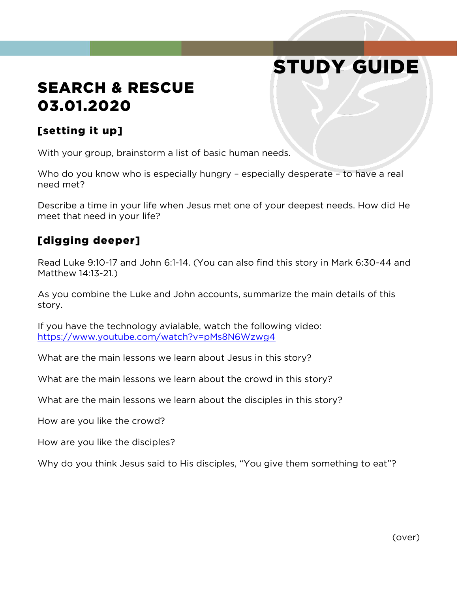# STUDY GUIDE

# SEARCH & RESCUE 03.01.2020

#### [setting it up]

With your group, brainstorm a list of basic human needs.

Who do you know who is especially hungry - especially desperate - to have a real need met?

Describe a time in your life when Jesus met one of your deepest needs. How did He meet that need in your life?

#### [digging deeper]

Read Luke 9:10-17 and John 6:1-14. (You can also find this story in Mark 6:30-44 and Matthew 14:13-21.)

As you combine the Luke and John accounts, summarize the main details of this story.

If you have the technology avialable, watch the following video: <https://www.youtube.com/watch?v=pMs8N6Wzwg4>

What are the main lessons we learn about Jesus in this story?

What are the main lessons we learn about the crowd in this story?

What are the main lessons we learn about the disciples in this story?

How are you like the crowd?

How are you like the disciples?

Why do you think Jesus said to His disciples, "You give them something to eat"?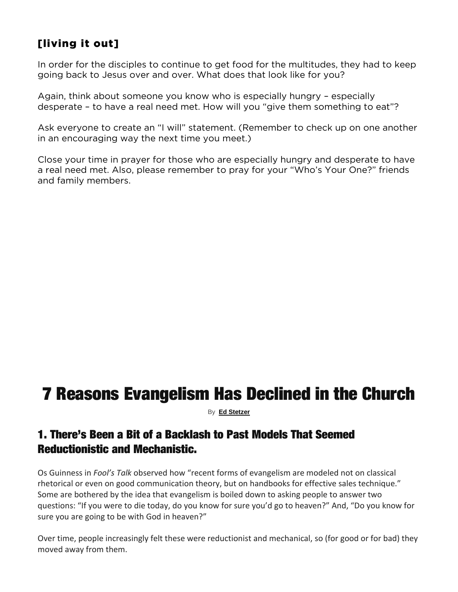#### [living it out]

In order for the disciples to continue to get food for the multitudes, they had to keep going back to Jesus over and over. What does that look like for you?

Again, think about someone you know who is especially hungry – especially desperate – to have a real need met. How will you "give them something to eat"?

Ask everyone to create an "I will" statement. (Remember to check up on one another in an encouraging way the next time you meet.)

Close your time in prayer for those who are especially hungry and desperate to have a real need met. Also, please remember to pray for your "Who's Your One?" friends and family members.

# 7 Reasons Evangelism Has Declined in the Church

By **[Ed Stetzer](https://outreachmagazine.com/author/ed-stetzer)**

#### 1. There's Been a Bit of a Backlash to Past Models That Seemed Reductionistic and Mechanistic.

Os Guinness in *Fool's Talk* observed how "recent forms of evangelism are modeled not on classical rhetorical or even on good communication theory, but on handbooks for effective sales technique." Some are bothered by the idea that evangelism is boiled down to asking people to answer two questions: "If you were to die today, do you know for sure you'd go to heaven?" And, "Do you know for sure you are going to be with God in heaven?"

Over time, people increasingly felt these were reductionist and mechanical, so (for good or for bad) they moved away from them.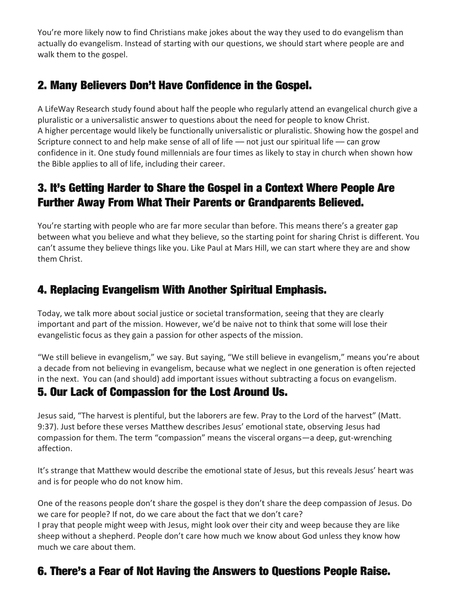You're more likely now to find Christians make jokes about the way they used to do evangelism than actually do evangelism. Instead of starting with our questions, we should start where people are and walk them to the gospel.

## 2. Many Believers Don't Have Confidence in the Gospel.

A LifeWay Research study found about half the people who regularly attend an evangelical church give a pluralistic or a universalistic answer to questions about the need for people to know Christ. A higher percentage would likely be functionally universalistic or pluralistic. Showing how the gospel and Scripture connect to and help make sense of all of life - not just our spiritual life - can grow confidence in it. One study found millennials are four times as likely to stay in church when shown how the Bible applies to all of life, including their career.

## 3. It's Getting Harder to Share the Gospel in a Context Where People Are Further Away From What Their Parents or Grandparents Believed.

You're starting with people who are far more secular than before. This means there's a greater gap between what you believe and what they believe, so the starting point for sharing Christ is different. You can't assume they believe things like you. Like Paul at Mars Hill, we can start where they are and show them Christ.

#### 4. Replacing Evangelism With Another Spiritual Emphasis.

Today, we talk more about social justice or societal transformation, seeing that they are clearly important and part of the mission. However, we'd be naive not to think that some will lose their evangelistic focus as they gain a passion for other aspects of the mission.

"We still believe in evangelism," we say. But saying, "We still believe in evangelism," means you're about a decade from not believing in evangelism, because what we neglect in one generation is often rejected in the next. You can (and should) add important issues without subtracting a focus on evangelism.

#### 5. Our Lack of Compassion for the Lost Around Us.

Jesus said, "The harvest is plentiful, but the laborers are few. Pray to the Lord of the harvest" (Matt. 9:37). Just before these verses Matthew describes Jesus' emotional state, observing Jesus had compassion for them. The term "compassion" means the visceral organs—a deep, gut-wrenching affection.

It's strange that Matthew would describe the emotional state of Jesus, but this reveals Jesus' heart was and is for people who do not know him.

One of the reasons people don't share the gospel is they don't share the deep compassion of Jesus. Do we care for people? If not, do we care about the fact that we don't care?

I pray that people might weep with Jesus, might look over their city and weep because they are like sheep without a shepherd. People don't care how much we know about God unless they know how much we care about them.

#### 6. There's a Fear of Not Having the Answers to Questions People Raise.